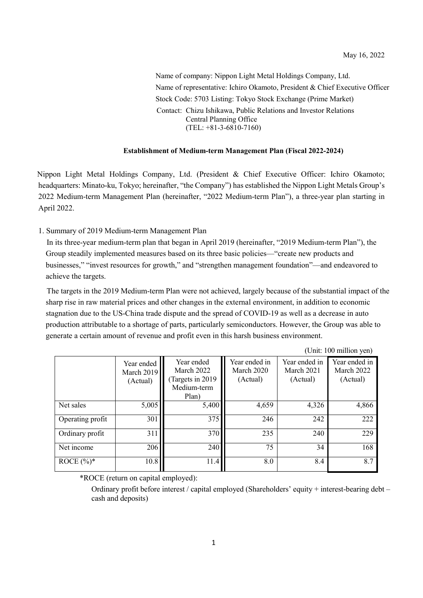Name of company: Nippon Light Metal Holdings Company, Ltd. Name of representative: Ichiro Okamoto, President & Chief Executive Officer Stock Code: 5703 Listing: Tokyo Stock Exchange (Prime Market) Contact: Chizu Ishikawa, Public Relations and Investor Relations Central Planning Office (TEL: +81-3-6810-7160)

#### **Establishment of Medium-term Management Plan (Fiscal 2022-2024)**

Nippon Light Metal Holdings Company, Ltd. (President & Chief Executive Officer: Ichiro Okamoto; headquarters: Minato-ku, Tokyo; hereinafter, "the Company") has established the Nippon Light Metals Group's 2022 Medium-term Management Plan (hereinafter, "2022 Medium-term Plan"), a three-year plan starting in April 2022.

#### 1. Summary of 2019 Medium-term Management Plan

In its three-year medium-term plan that began in April 2019 (hereinafter, "2019 Medium-term Plan"), the Group steadily implemented measures based on its three basic policies—"create new products and businesses," "invest resources for growth," and "strengthen management foundation"—and endeavored to achieve the targets.

The targets in the 2019 Medium-term Plan were not achieved, largely because of the substantial impact of the sharp rise in raw material prices and other changes in the external environment, in addition to economic stagnation due to the US-China trade dispute and the spread of COVID-19 as well as a decrease in auto production attributable to a shortage of parts, particularly semiconductors. However, the Group was able to generate a certain amount of revenue and profit even in this harsh business environment.

(Unit: 100 million yen)

|                  | Year ended<br>March 2019<br>(Actual) | Year ended<br>March 2022<br>Targets in 2019<br>Medium-term<br>Plan) | Year ended in<br>March 2020<br>(Actual) | Year ended in<br>March 2021<br>(Actual) | Year ended in<br>March 2022<br>(Actual) |
|------------------|--------------------------------------|---------------------------------------------------------------------|-----------------------------------------|-----------------------------------------|-----------------------------------------|
| Net sales        | 5,005                                | 5,400                                                               | 4,659                                   | 4,326                                   | 4,866                                   |
| Operating profit | 301                                  | 375                                                                 | 246                                     | 242                                     | 222                                     |
| Ordinary profit  | 311                                  | 370                                                                 | 235                                     | 240                                     | 229                                     |
| Net income       | 206                                  | 240                                                                 | 75                                      | 34                                      | 168                                     |
| ROCE $(\%)^*$    | 10.8                                 | 11.4                                                                | 8.0                                     | 8.4                                     | 8.7                                     |

\*ROCE (return on capital employed):

Ordinary profit before interest / capital employed (Shareholders' equity + interest-bearing debt – cash and deposits)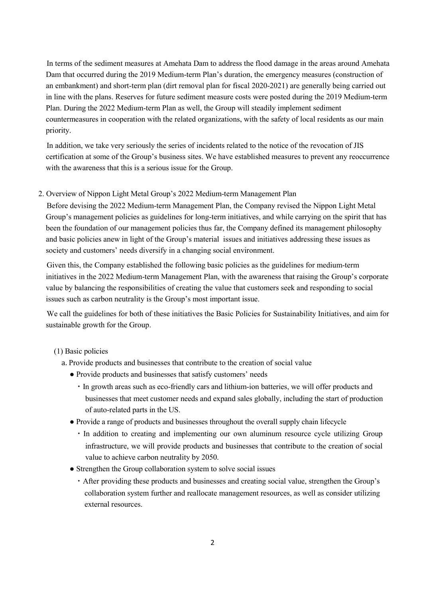In terms of the sediment measures at Amehata Dam to address the flood damage in the areas around Amehata Dam that occurred during the 2019 Medium-term Plan's duration, the emergency measures (construction of an embankment) and short-term plan (dirt removal plan for fiscal 2020-2021) are generally being carried out in line with the plans. Reserves for future sediment measure costs were posted during the 2019 Medium-term Plan. During the 2022 Medium-term Plan as well, the Group will steadily implement sediment countermeasures in cooperation with the related organizations, with the safety of local residents as our main priority.

In addition, we take very seriously the series of incidents related to the notice of the revocation of JIS certification at some of the Group's business sites. We have established measures to prevent any reoccurrence with the awareness that this is a serious issue for the Group.

# 2. Overview of Nippon Light Metal Group's 2022 Medium-term Management Plan

Before devising the 2022 Medium-term Management Plan, the Company revised the Nippon Light Metal Group's management policies as guidelines for long-term initiatives, and while carrying on the spirit that has been the foundation of our management policies thus far, the Company defined its management philosophy and basic policies anew in light of the Group's material issues and initiatives addressing these issues as society and customers' needs diversify in a changing social environment.

Given this, the Company established the following basic policies as the guidelines for medium-term initiatives in the 2022 Medium-term Management Plan, with the awareness that raising the Group's corporate value by balancing the responsibilities of creating the value that customers seek and responding to social issues such as carbon neutrality is the Group's most important issue.

We call the guidelines for both of these initiatives the Basic Policies for Sustainability Initiatives, and aim for sustainable growth for the Group.

# (1) Basic policies

- a. Provide products and businesses that contribute to the creation of social value
	- Provide products and businesses that satisfy customers' needs
		- ・In growth areas such as eco-friendly cars and lithium-ion batteries, we will offer products and businesses that meet customer needs and expand sales globally, including the start of production of auto-related parts in the US.
	- Provide a range of products and businesses throughout the overall supply chain lifecycle
		- ・In addition to creating and implementing our own aluminum resource cycle utilizing Group infrastructure, we will provide products and businesses that contribute to the creation of social value to achieve carbon neutrality by 2050.
	- Strengthen the Group collaboration system to solve social issues
		- ・After providing these products and businesses and creating social value, strengthen the Group's collaboration system further and reallocate management resources, as well as consider utilizing external resources.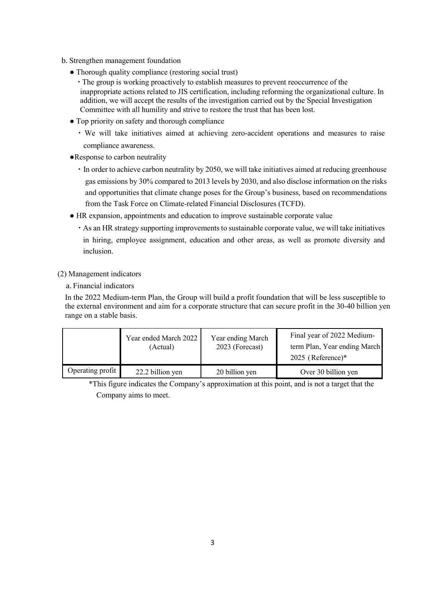- b. Strengthen management foundation
	- Thorough quality compliance (restoring social trust)
		- ・The group is working proactively to establish measures to prevent reoccurrence of the inappropriate actions related to JIS certification, including reforming the organizational culture. In addition, we will accept the results of the investigation carried out by the Special Investigation Committee with all humility and strive to restore the trust that has been lost.
	- Top priority on safety and thorough compliance
		- ・We will take initiatives aimed at achieving zero-accident operations and measures to raise compliance awareness.
	- ●Response to carbon neutrality
		- ・In order to achieve carbon neutrality by 2050, we will take initiatives aimed at reducing greenhouse gas emissions by 30% compared to 2013 levels by 2030, and also disclose information on the risks and opportunities that climate change poses for the Group's business, based on recommendations from the Task Force on Climate-related Financial Disclosures (TCFD).
	- HR expansion, appointments and education to improve sustainable corporate value
		- ・As an HR strategy supporting improvements to sustainable corporate value, we will take initiatives in hiring, employee assignment, education and other areas, as well as promote diversity and inclusion.

### (2) Management indicators

a. Financial indicators

In the 2022 Medium-term Plan, the Group will build a profit foundation that will be less susceptible to the external environment and aim for a corporate structure that can secure profit in the 30-40 billion yen range on a stable basis.

|                  | Year ended March 2022<br>(Actual) | Year ending March<br>2023 (Forecast) | Final year of 2022 Medium-<br>term Plan, Year ending March<br>$2025$ (Reference)* |
|------------------|-----------------------------------|--------------------------------------|-----------------------------------------------------------------------------------|
| Operating profit | 22.2 billion yen                  | 20 billion yen                       | Over 30 billion yen                                                               |

\*This figure indicates the Company's approximation at this point, and is not a target that the Company aims to meet.